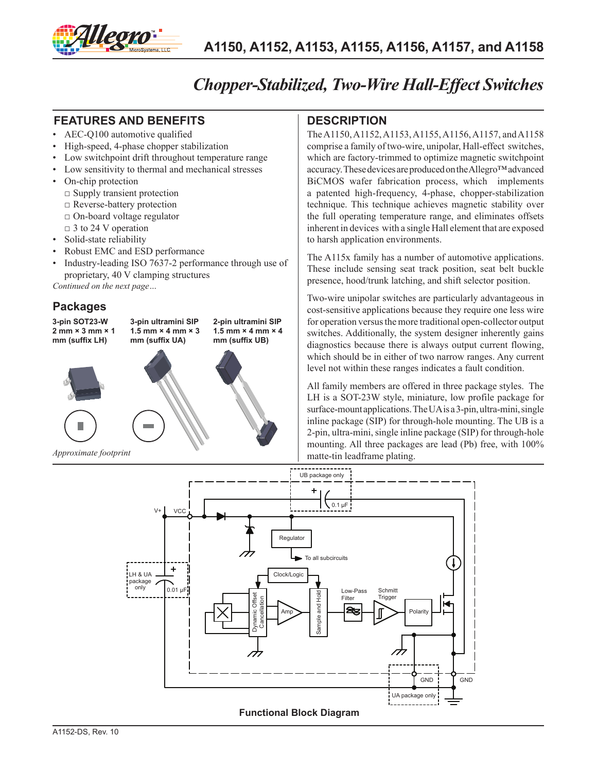

## *Chopper-Stabilized, Two-Wire Hall-Effect Switches*

#### **FEATURES AND BENEFITS DESCRIPTION**

- AEC-Q100 automotive qualified
- High-speed, 4-phase chopper stabilization
- Low switchpoint drift throughout temperature range
- Low sensitivity to thermal and mechanical stresses
- On-chip protection
	- $\square$  Supply transient protection
	- □ Reverse-battery protection
	- $\Box$  On-board voltage regulator
- $\Box$  3 to 24 V operation
- Solid-state reliability
- Robust EMC and ESD performance
- Industry-leading ISO 7637-2 performance through use of proprietary, 40 V clamping structures

*Continued on the next page…*

#### **Packages**



The A1150, A1152, A1153, A1155, A1156, A1157, and A1158 comprise a family of two-wire, unipolar, Hall-effect switches, which are factory-trimmed to optimize magnetic switchpoint accuracy. These devices are produced on the Allegro™ advanced BiCMOS wafer fabrication process, which implements a patented high-frequency, 4-phase, chopper-stabilization technique. This technique achieves magnetic stability over the full operating temperature range, and eliminates offsets inherent in devices with a single Hall element that are exposed to harsh application environments.

The A115x family has a number of automotive applications. These include sensing seat track position, seat belt buckle presence, hood/trunk latching, and shift selector position.

Two-wire unipolar switches are particularly advantageous in cost-sensitive applications because they require one less wire for operation versus the more traditional open-collector output switches. Additionally, the system designer inherently gains diagnostics because there is always output current flowing, which should be in either of two narrow ranges. Any current level not within these ranges indicates a fault condition.

All family members are offered in three package styles. The LH is a SOT-23W style, miniature, low profile package for surface-mount applications. The UA is a 3-pin, ultra-mini, single inline package (SIP) for through-hole mounting. The UB is a 2-pin, ultra-mini, single inline package (SIP) for through-hole mounting. All three packages are lead (Pb) free, with 100% matte-tin leadframe plating.

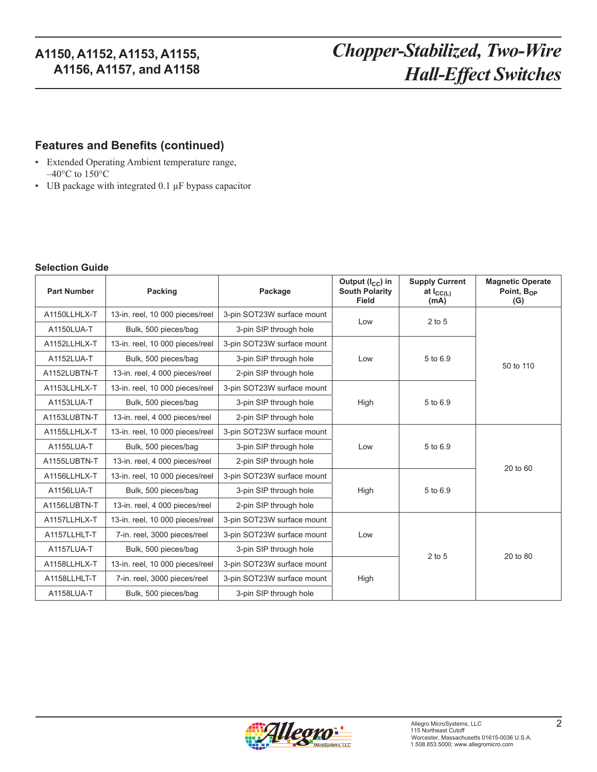# *Chopper-Stabilized, Two-Wire Hall-Effect Switches*

#### **Features and Benefits (continued)**

- Extended Operating Ambient temperature range,  $-40^{\circ}$ C to  $150^{\circ}$ C
- UB package with integrated 0.1 µF bypass capacitor

#### **Selection Guide**

| <b>Part Number</b> | Packing                         | Package                    | Output $(I_{CC})$ in<br><b>South Polarity</b><br>Field | <b>Supply Current</b><br>at $I_{\text{GCL}}$<br>(mA) | <b>Magnetic Operate</b><br>Point, $B_{OP}$<br>(G) |
|--------------------|---------------------------------|----------------------------|--------------------------------------------------------|------------------------------------------------------|---------------------------------------------------|
| A1150LLHLX-T       | 13-in. reel, 10 000 pieces/reel | 3-pin SOT23W surface mount | Low                                                    | 2 to 5                                               |                                                   |
| A1150LUA-T         | Bulk, 500 pieces/bag            | 3-pin SIP through hole     |                                                        |                                                      |                                                   |
| A1152LLHLX-T       | 13-in. reel, 10 000 pieces/reel | 3-pin SOT23W surface mount |                                                        |                                                      |                                                   |
| A1152LUA-T         | Bulk, 500 pieces/bag            | 3-pin SIP through hole     | Low                                                    | 5 to 6.9                                             | 50 to 110                                         |
| A1152LUBTN-T       | 13-in. reel, 4 000 pieces/reel  | 2-pin SIP through hole     |                                                        |                                                      |                                                   |
| A1153LLHLX-T       | 13-in. reel, 10 000 pieces/reel | 3-pin SOT23W surface mount |                                                        |                                                      |                                                   |
| A1153LUA-T         | Bulk, 500 pieces/bag            | 3-pin SIP through hole     | High                                                   | 5 to 6.9                                             |                                                   |
| A1153LUBTN-T       | 13-in. reel, 4 000 pieces/reel  | 2-pin SIP through hole     |                                                        |                                                      |                                                   |
| A1155LLHLX-T       | 13-in. reel, 10 000 pieces/reel | 3-pin SOT23W surface mount |                                                        |                                                      |                                                   |
| A1155LUA-T         | Bulk, 500 pieces/bag            | 3-pin SIP through hole     | Low                                                    | 5 to 6.9                                             |                                                   |
| A1155LUBTN-T       | 13-in. reel, 4 000 pieces/reel  | 2-pin SIP through hole     |                                                        |                                                      | 20 to 60                                          |
| A1156LLHLX-T       | 13-in. reel, 10 000 pieces/reel | 3-pin SOT23W surface mount |                                                        |                                                      |                                                   |
| A1156LUA-T         | Bulk, 500 pieces/bag            | 3-pin SIP through hole     | High                                                   | 5 to 6.9                                             |                                                   |
| A1156LUBTN-T       | 13-in. reel, 4 000 pieces/reel  | 2-pin SIP through hole     |                                                        |                                                      |                                                   |
| A1157LLHLX-T       | 13-in. reel, 10 000 pieces/reel | 3-pin SOT23W surface mount |                                                        |                                                      |                                                   |
| A1157LLHLT-T       | 7-in. reel, 3000 pieces/reel    | 3-pin SOT23W surface mount | Low                                                    |                                                      |                                                   |
| A1157LUA-T         | Bulk, 500 pieces/bag            | 3-pin SIP through hole     |                                                        | $2$ to $5$                                           | 20 to 80                                          |
| A1158LLHLX-T       | 13-in. reel, 10 000 pieces/reel | 3-pin SOT23W surface mount |                                                        |                                                      |                                                   |
| A1158LLHLT-T       | 7-in. reel, 3000 pieces/reel    | 3-pin SOT23W surface mount | High                                                   |                                                      |                                                   |
| A1158LUA-T         | Bulk, 500 pieces/bag            | 3-pin SIP through hole     |                                                        |                                                      |                                                   |

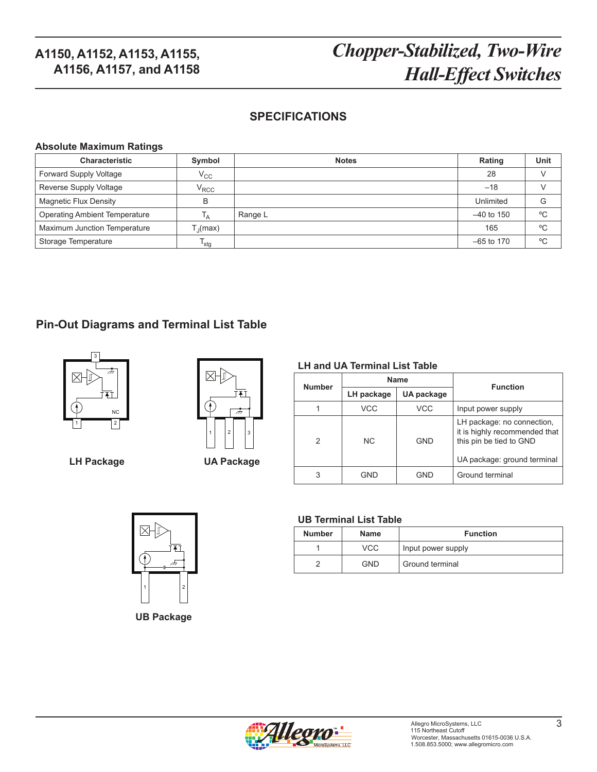# *Chopper-Stabilized, Two-Wire Hall-Effect Switches*

### **SPECIFICATIONS**

#### **Absolute Maximum Ratings**

| Characteristic                       | Symbol                                | <b>Notes</b> | Rating       | Unit         |
|--------------------------------------|---------------------------------------|--------------|--------------|--------------|
| Forward Supply Voltage               | $\rm v_{cc}$                          |              | 28           |              |
| Reverse Supply Voltage               | $\rm V_{\rm RCC}$                     |              | $-18$        |              |
| <b>Magnetic Flux Density</b>         | B                                     |              | Unlimited    | G            |
| <b>Operating Ambient Temperature</b> | Т <sub>А</sub>                        | Range L      | $-40$ to 150 | $^{\circ}$ C |
| Maximum Junction Temperature         | $\mathsf{T}_\mathsf{J}(\mathsf{max})$ |              | 165          | °C           |
| Storage Temperature                  | <sup>1</sup> stg                      |              | $-65$ to 170 | °C           |

### **Pin-Out Diagrams and Terminal List Table**



 $\boxtimes$ 1 | 2 | | 3

**LH Package UA Package**

|  |  |  |  | <b>LH and UA Terminal List Table</b> |  |  |
|--|--|--|--|--------------------------------------|--|--|
|--|--|--|--|--------------------------------------|--|--|

| <b>Number</b>  |                          | Name       | <b>Function</b>                                                                                                       |  |
|----------------|--------------------------|------------|-----------------------------------------------------------------------------------------------------------------------|--|
|                | LH package<br>UA package |            |                                                                                                                       |  |
|                | <b>VCC</b>               | VCC        | Input power supply                                                                                                    |  |
| $\mathfrak{p}$ | NC.                      | GND        | LH package: no connection,<br>it is highly recommended that<br>this pin be tied to GND<br>UA package: ground terminal |  |
| 3              | GND                      | <b>GND</b> | Ground terminal                                                                                                       |  |



**UB Package**

#### **UB Terminal List Table**

| <b>Number</b> | <b>Name</b> | <b>Function</b>    |
|---------------|-------------|--------------------|
|               | VCC         | Input power supply |
|               | GND         | Ground terminal    |

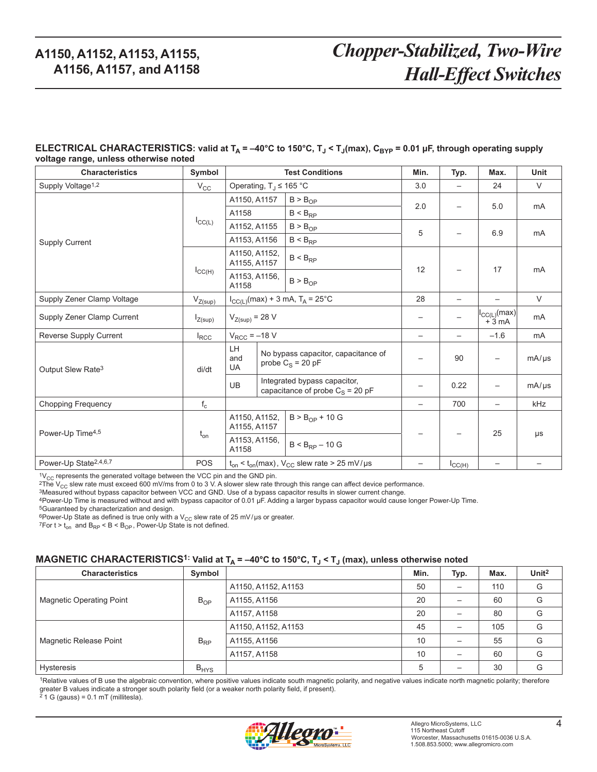# *Chopper-Stabilized, Two-Wire Hall-Effect Switches*

#### ELECTRICAL CHARACTERISTICS: valid at T<sub>A</sub> = -40°C to 150°C, T<sub>J</sub> < T<sub>J</sub>(max), C<sub>BYP</sub> = 0.01 µF, through operating supply **voltage range, unless otherwise noted**

| <b>Characteristics</b>            | Symbol                  | <b>Test Conditions</b>                                                          |                                                      |                                                            | Min.              | Typ.                                                                          | Max.              | Unit           |
|-----------------------------------|-------------------------|---------------------------------------------------------------------------------|------------------------------------------------------|------------------------------------------------------------|-------------------|-------------------------------------------------------------------------------|-------------------|----------------|
| Supply Voltage <sup>1,2</sup>     | $V_{\rm CC}$            | Operating, $T_J \le 165$ °C                                                     |                                                      |                                                            | 3.0               | —                                                                             | 24                | $\vee$         |
|                                   |                         | A1150, A1157                                                                    |                                                      | B > B <sub>OP</sub>                                        |                   |                                                                               | 5.0               | mA             |
|                                   |                         | A1158                                                                           |                                                      | $B < B_{RP}$                                               | 2.0               |                                                                               |                   |                |
|                                   | $I_{\text{CC}(L)}$      | A1152, A1155                                                                    |                                                      | $B > B_{OP}$                                               |                   |                                                                               |                   |                |
| <b>Supply Current</b>             |                         | A1153, A1156                                                                    |                                                      | $B < B_{RP}$                                               | 5                 |                                                                               | 6.9               | m <sub>A</sub> |
|                                   |                         | A1150, A1152,<br>A1155, A1157                                                   |                                                      | $B < B_{RP}$                                               | 12                |                                                                               |                   |                |
|                                   | $I_{\text{CC(H)}}$      | A1153, A1156,<br>A1158                                                          |                                                      | B > B <sub>OP</sub>                                        |                   |                                                                               | 17                | mA             |
| Supply Zener Clamp Voltage        | $V_{Z(sup)}$            | $I_{CC(L)}(max) + 3$ mA, $T_A = 25^{\circ}C$                                    |                                                      | 28                                                         |                   | $\overline{\phantom{0}}$                                                      | $\vee$            |                |
| Supply Zener Clamp Current        | $I_{Z(sup)}$            | $V_{Z(sup)} = 28 V$                                                             |                                                      |                                                            |                   | $\begin{vmatrix} I_{\text{CC}(L)}(\text{max}) \\ +3 \text{ mA} \end{vmatrix}$ | m <sub>A</sub>    |                |
| Reverse Supply Current            | $I_{\text{RCC}}$        | $V_{RCC}$ = $-18$ V                                                             |                                                      | $\qquad \qquad$                                            | $\qquad \qquad -$ | $-1.6$                                                                        | mA                |                |
| Output Slew Rate <sup>3</sup>     | di/dt                   | LH<br>and<br><b>UA</b>                                                          |                                                      | No bypass capacitor, capacitance of<br>probe $C_S = 20 pF$ |                   | 90                                                                            | $\qquad \qquad -$ | $mA/\mu s$     |
|                                   |                         | Integrated bypass capacitor,<br><b>UB</b><br>capacitance of probe $C_S = 20$ pF |                                                      |                                                            | 0.22              | $\qquad \qquad -$                                                             | mA/µs             |                |
| <b>Chopping Frequency</b>         | $\mathsf{f}_\mathsf{c}$ |                                                                                 |                                                      |                                                            | 700               |                                                                               | kHz               |                |
| Power-Up Time <sup>4,5</sup>      | $t_{on}$                |                                                                                 | $B > B_{OP} + 10 G$<br>A1150, A1152,<br>A1155, A1157 |                                                            |                   |                                                                               | 25                |                |
|                                   |                         | A1153, A1156,<br>$B < B_{RP} - 10 G$<br>A1158                                   |                                                      |                                                            |                   |                                                                               | μs                |                |
| Power-Up State <sup>2,4,6,7</sup> | <b>POS</b>              |                                                                                 |                                                      | $t_{on}$ < $t_{on}$ (max), $V_{CC}$ slew rate > 25 mV/µs   |                   | $I_{\text{CC(H)}}$                                                            | —                 |                |

 $^{1}V_{CC}$  represents the generated voltage between the VCC pin and the GND pin.<br><sup>2</sup>The V<sub>CC</sub> slew rate must exceed 600 mV/ms from 0 to 3 V. A slower slew rate through this range can affect device performance.<br><sup>3</sup>Measured

4Power-Up Time is measured without and with bypass capacitor of 0.01 µF. Adding a larger bypass capacitor would cause longer Power-Up Time.

5Guaranteed by characterization and design.

6Power-Up State as defined is true only with a V<sub>CC</sub> slew rate of 25 mV/µs or greater.<br>7For t > t<sub>on</sub> and B<sub>RP</sub> < B < B<sub>OP</sub>, Power-Up State is not defined.

#### MAGNETIC CHARACTERISTICS<sup>1:</sup> Valid at T<sub>A</sub> = -40°C to 150°C, T<sub>J</sub> < T<sub>J</sub> (max), unless otherwise noted

| <b>Characteristics</b>          | Symbol    |                     | Min. | Typ. | Max. | Unit <sup>2</sup> |
|---------------------------------|-----------|---------------------|------|------|------|-------------------|
|                                 | $B_{OP}$  | A1150, A1152, A1153 | 50   | —    | 110  | G                 |
| <b>Magnetic Operating Point</b> |           | A1155, A1156        | 20   |      | 60   | G                 |
|                                 |           | A1157, A1158        | 20   |      | 80   | G                 |
|                                 | $B_{RP}$  | A1150, A1152, A1153 | 45   |      | 105  | G                 |
| Magnetic Release Point          |           | A1155, A1156        | 10   |      | 55   | G                 |
|                                 |           | A1157, A1158        | 10   |      | 60   | G                 |
| <b>Hysteresis</b>               | $B_{HYS}$ |                     | 5    |      | 30   | G                 |

1Relative values of B use the algebraic convention, where positive values indicate south magnetic polarity, and negative values indicate north magnetic polarity; therefore greater B values indicate a stronger south polarity field (or a weaker north polarity field, if present). 2 1 G (gauss) = 0.1 mT (millitesla).

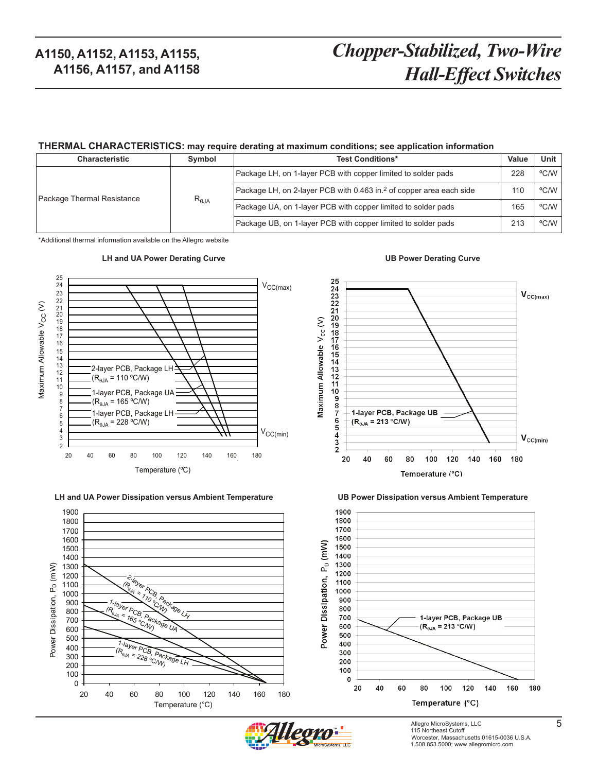# *Chopper-Stabilized, Two-Wire Hall-Effect Switches*

#### **THERMAL CHARACTERISTICS: may require derating at maximum conditions; see application information**

| <b>Characteristic</b>      | Symbol          | <b>Test Conditions*</b>                                                         | Value | <b>Unit</b> |
|----------------------------|-----------------|---------------------------------------------------------------------------------|-------|-------------|
|                            | $R_{\theta JA}$ | Package LH, on 1-layer PCB with copper limited to solder pads                   | 228   | °C/W        |
| Package Thermal Resistance |                 | Package LH, on 2-layer PCB with 0.463 in. <sup>2</sup> of copper area each side |       | °C/W        |
|                            |                 | Package UA, on 1-layer PCB with copper limited to solder pads                   | 165   | °C/W        |
|                            |                 | Package UB, on 1-layer PCB with copper limited to solder pads                   | 213   | °C/W        |

\*Additional thermal information available on the Allegro website



**Power Dissipation versus Ambient Temperature LH and UA Power Dissipation versus Ambient Temperature UB Power Dissipation versus Ambient Temperature**







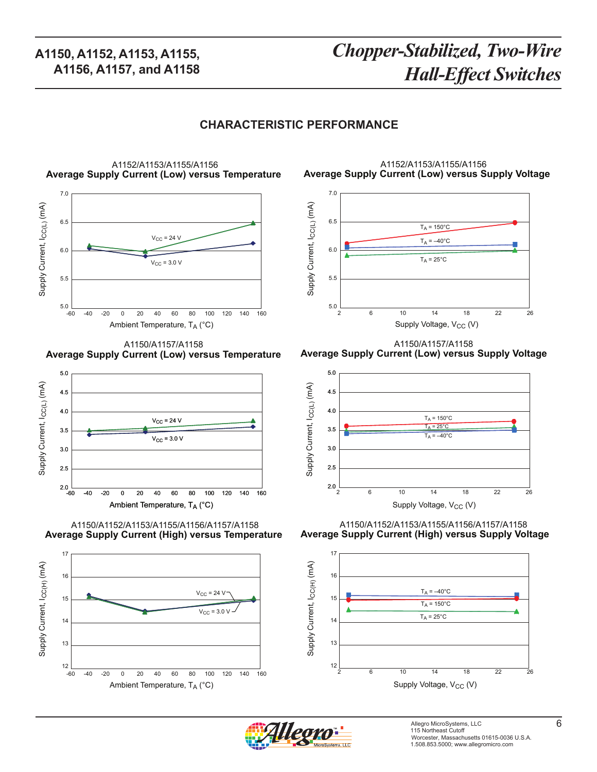# *Chopper-Stabilized, Two-Wire Hall-Effect Switches*

#### **CHARACTERISTIC PERFORMANCE**



**Average Supply Current (Low) versus Temperature** A1150/A1157/A1158



**Average Supply Current (High) versus Temperature** A1150/A1152/A1153/A1155/A1156/A1157/A1158



**Average Supply Current (Low) versus Supply Voltage** A1152/A1153/A1155/A1156



**Average Supply Current (Low) versus Supply Voltage** A1150/A1157/A1158



**Average Supply Current (High) versus Supply Voltage** A1150/A1152/A1153/A1155/A1156/A1157/A1158



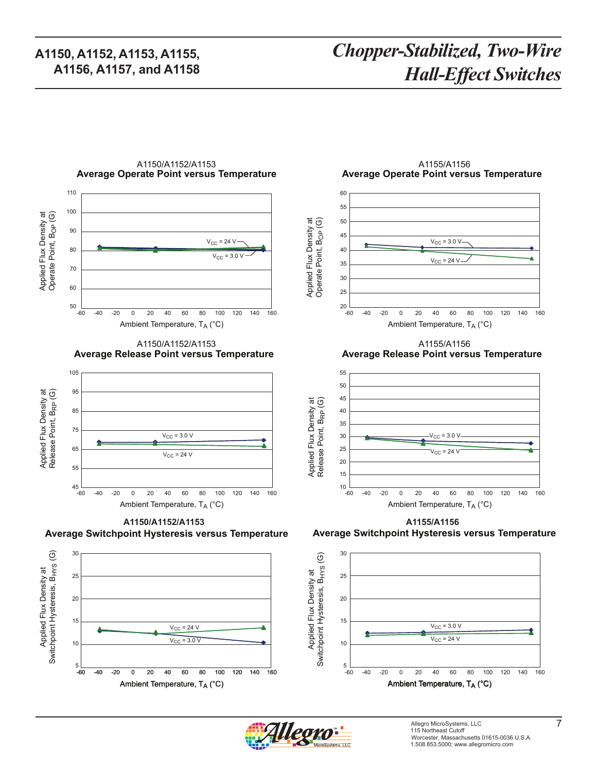# *Chopper-Stabilized, Two-Wire Hall-Effect Switches*



A1150/A1152/A1153

**Average Release Point versus Temperature** A1150/A1152/A1153



**Average Switchpoint Hysteresis versus Temperature**



**Average Operate Point versus Temperature** A1155/A1156



**Average Release Point versus Temperature** A1155/A1156



**Average Switchpoint Hysteresis versus Temperature** A1155/A1156 A1150/A1152/A1153/A1155/A1156/A1157/A1158 **A1150/A1152/A1153 A1155/A1156**





Applied Flux Density at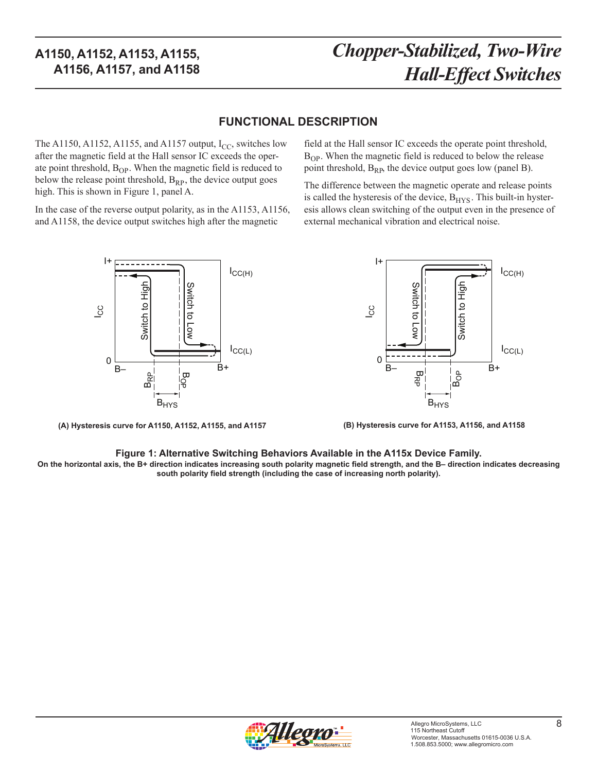# *Chopper-Stabilized, Two-Wire Hall-Effect Switches*

#### **FUNCTIONAL DESCRIPTION**

The A1150, A1152, A1155, and A1157 output,  $I_{CC}$ , switches low after the magnetic field at the Hall sensor IC exceeds the operate point threshold,  $B_{OP}$ . When the magnetic field is reduced to below the release point threshold,  $B_{RP}$ , the device output goes high. This is shown in Figure 1, panel A.

In the case of the reverse output polarity, as in the A1153, A1156, and A1158, the device output switches high after the magnetic

> B OP BRP **B**<sub>HYS</sub>  $I_{\text{CC(H)}}$ IC C  $I_{CC(L)}$ S witch to Lo w Switch to 등<br>도 B– , i in B+ I+ 0

**(A) Hysteresis curve for A1150, A1152, A1155, and A1157**

#### field at the Hall sensor IC exceeds the operate point threshold,  $B_{OP}$ . When the magnetic field is reduced to below the release point threshold,  $B_{RP}$ , the device output goes low (panel B).

The difference between the magnetic operate and release points is called the hysteresis of the device,  $B<sub>HYS</sub>$ . This built-in hysteresis allows clean switching of the output even in the presence of external mechanical vibration and electrical noise.



**(B) Hysteresis curve for A1153, A1156, and A1158**

#### **Figure 1: Alternative Switching Behaviors Available in the A115x Device Family.**

**On the horizontal axis, the B+ direction indicates increasing south polarity magnetic field strength, and the B– direction indicates decreasing south polarity field strength (including the case of increasing north polarity).**

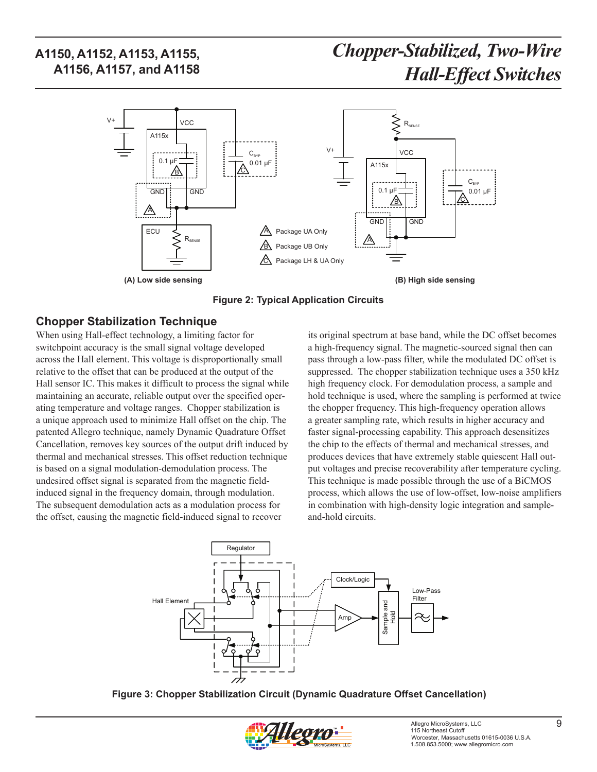

**Figure 2: Typical Application Circuits**

#### **Chopper Stabilization Technique**

When using Hall-effect technology, a limiting factor for switchpoint accuracy is the small signal voltage developed across the Hall element. This voltage is disproportionally small relative to the offset that can be produced at the output of the Hall sensor IC. This makes it difficult to process the signal while maintaining an accurate, reliable output over the specified operating temperature and voltage ranges. Chopper stabilization is a unique approach used to minimize Hall offset on the chip. The patented Allegro technique, namely Dynamic Quadrature Offset Cancellation, removes key sources of the output drift induced by thermal and mechanical stresses. This offset reduction technique is based on a signal modulation-demodulation process. The undesired offset signal is separated from the magnetic fieldinduced signal in the frequency domain, through modulation. The subsequent demodulation acts as a modulation process for the offset, causing the magnetic field-induced signal to recover

its original spectrum at base band, while the DC offset becomes a high-frequency signal. The magnetic-sourced signal then can pass through a low-pass filter, while the modulated DC offset is suppressed. The chopper stabilization technique uses a 350 kHz high frequency clock. For demodulation process, a sample and hold technique is used, where the sampling is performed at twice the chopper frequency. This high-frequency operation allows a greater sampling rate, which results in higher accuracy and faster signal-processing capability. This approach desensitizes the chip to the effects of thermal and mechanical stresses, and produces devices that have extremely stable quiescent Hall output voltages and precise recoverability after temperature cycling. This technique is made possible through the use of a BiCMOS process, which allows the use of low-offset, low-noise amplifiers in combination with high-density logic integration and sampleand-hold circuits.



**Figure 3: Chopper Stabilization Circuit (Dynamic Quadrature Offset Cancellation)** 

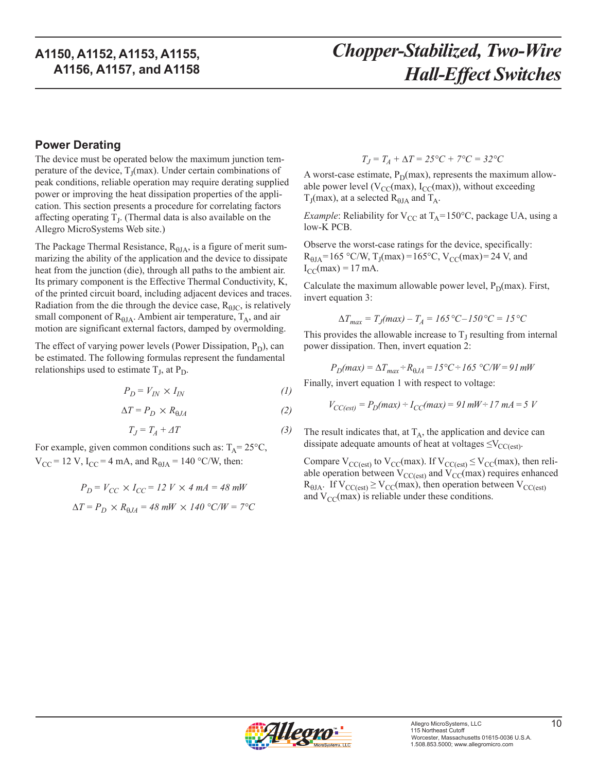#### **Power Derating**

The device must be operated below the maximum junction temperature of the device,  $T_1$ (max). Under certain combinations of peak conditions, reliable operation may require derating supplied power or improving the heat dissipation properties of the application. This section presents a procedure for correlating factors affecting operating  $T_J$ . (Thermal data is also available on the Allegro MicroSystems Web site.)

The Package Thermal Resistance,  $R_{\theta JA}$ , is a figure of merit summarizing the ability of the application and the device to dissipate heat from the junction (die), through all paths to the ambient air. Its primary component is the Effective Thermal Conductivity, K, of the printed circuit board, including adjacent devices and traces. Radiation from the die through the device case,  $R_{\text{HIC}}$ , is relatively small component of  $R_{\theta JA}$ . Ambient air temperature,  $T_A$ , and air motion are significant external factors, damped by overmolding.

The effect of varying power levels (Power Dissipation,  $P_D$ ), can be estimated. The following formulas represent the fundamental relationships used to estimate  $T_J$ , at  $P_D$ .

$$
P_D = V_{IN} \times I_{IN} \tag{1}
$$

$$
\Delta T = P_D \times R_{\theta J A} \tag{2}
$$

$$
T_J = T_A + \varDelta T \tag{3}
$$

For example, given common conditions such as:  $T_A = 25^{\circ}C$ ,  $V_{CC}$  = 12 V, I<sub>CC</sub> = 4 mA, and R<sub>θJA</sub> = 140 °C/W, then:

$$
P_D = V_{CC} \times I_{CC} = 12 \text{ V} \times 4 \text{ mA} = 48 \text{ mW}
$$

$$
\Delta T = P_D \times R_{0JA} = 48 \text{ mW} \times 140 \text{ °C/W} = 7 \text{ °C}
$$

 $T_J = T_A + \Delta T = 25$ °C + 7°C = 32°C

A worst-case estimate,  $P_D(max)$ , represents the maximum allowable power level ( $V_{CC}(max)$ ,  $I_{CC}(max)$ ), without exceeding  $T_J$ (max), at a selected  $R_{\theta JA}$  and  $T_A$ .

*Example*: Reliability for  $V_{CC}$  at  $T_A = 150^{\circ}C$ , package UA, using a low-K PCB.

Observe the worst-case ratings for the device, specifically:  $R_{\text{HJA}} = 165 \text{ °C/W}, T_{\text{J}}(\text{max}) = 165 \text{ °C}, V_{\text{CC}}(\text{max}) = 24 \text{ V}, \text{and}$  $I_{CC}(max) = 17$  mA.

Calculate the maximum allowable power level,  $P_D(max)$ . First, invert equation 3:

$$
\Delta T_{max} = T_J(max) - T_A = 165 \,^{\circ}C - 150 \,^{\circ}C = 15 \,^{\circ}C
$$

This provides the allowable increase to  $T<sub>I</sub>$  resulting from internal power dissipation. Then, invert equation 2:

$$
P_D(max) = \Delta T_{max} \div R_{\theta JA} = I5 \degree C \div I65 \degree C/W = 91 \text{ mW}
$$

Finally, invert equation 1 with respect to voltage:

$$
V_{CC(est)} = P_D(max) \div I_{CC}(max) = 91 \, \text{mW} \div 17 \, \text{mA} = 5 \, \text{V}
$$

The result indicates that, at  $T_A$ , the application and device can dissipate adequate amounts of heat at voltages  $\leq$ V<sub>CC(est)</sub>.

Compare  $V_{CC(est)}$  to  $V_{CC}(max)$ . If  $V_{CC(est)} \leq V_{CC}(max)$ , then reliable operation between  $V_{CC(est)}$  and  $V_{CC}(max)$  requires enhanced  $R_{\theta JA}$ . If  $V_{CC(est)} \ge V_{CC}(max)$ , then operation between  $V_{CC(est)}$ and  $V_{CC}(max)$  is reliable under these conditions.

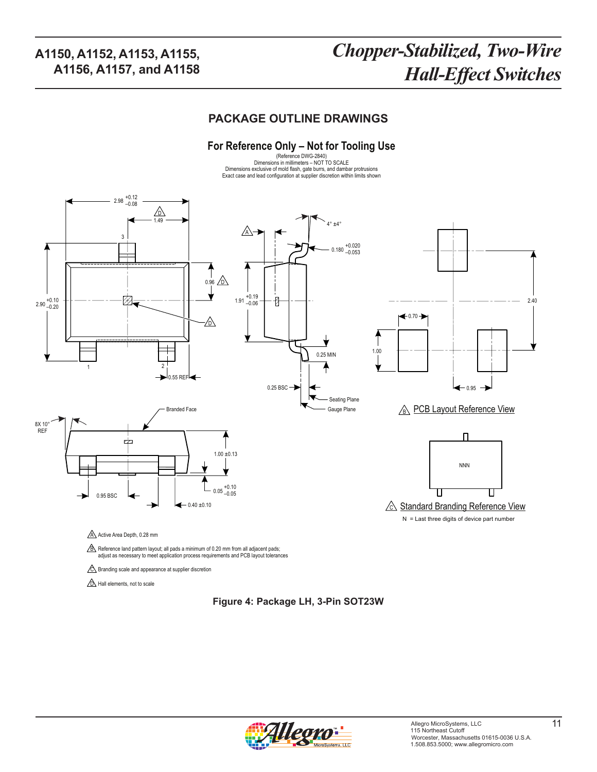# *Chopper-Stabilized, Two-Wire Hall-Effect Switches*

#### **PACKAGE OUTLINE DRAWINGS**

#### **For Reference Only – Not for Tooling Use**

(Reference DWG-2840) Dimensions in millimeters – NOT TO SCALE Dimensions exclusive of mold flash, gate burrs, and dambar protrusions Exact case and lead configuration at supplier discretion within limits shown



C Branding scale and appearance at supplier discretion

**D** Hall elements, not to scale

#### **Figure 4: Package LH, 3-Pin SOT23W**

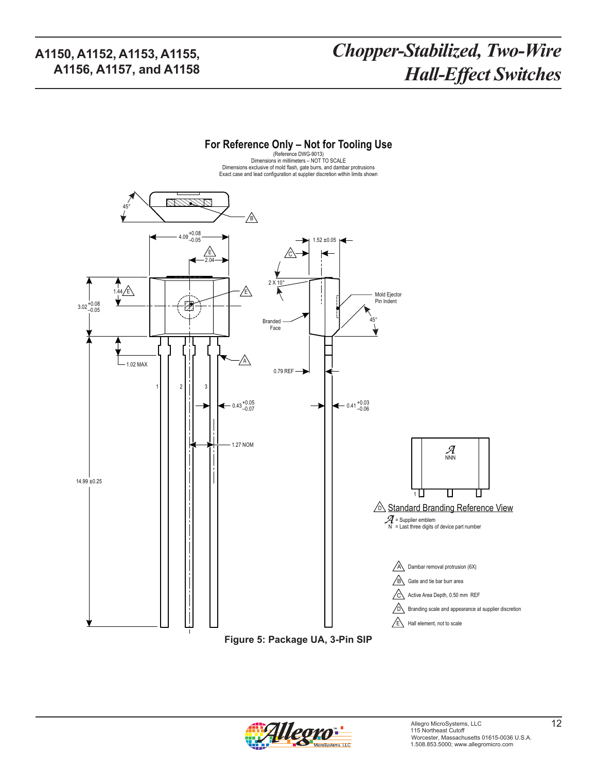# *Chopper-Stabilized, Two-Wire Hall-Effect Switches*



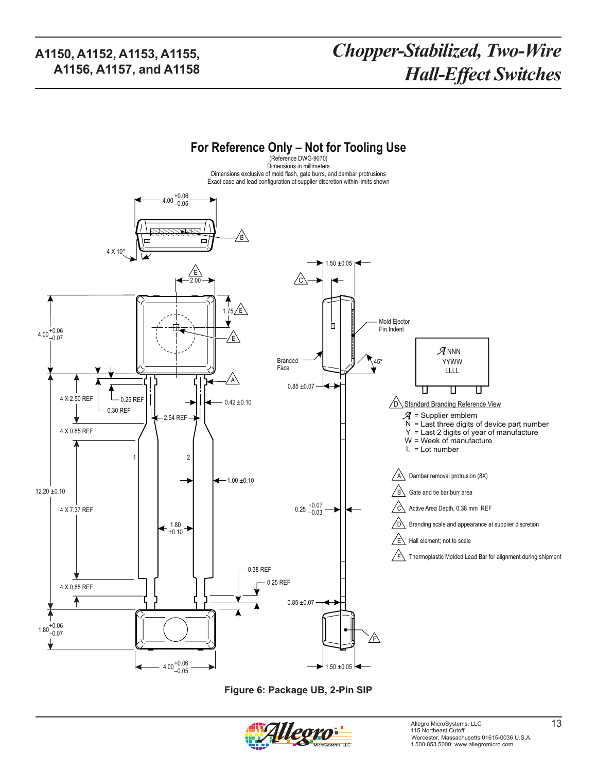# *Chopper-Stabilized, Two-Wire Hall-Effect Switches*



**Figure 6: Package UB, 2-Pin SIP**